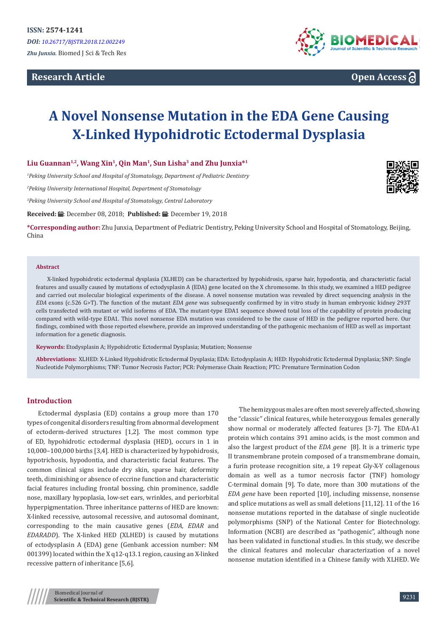# **Research Article**



**Open Access**

# **A Novel Nonsense Mutation in the EDA Gene Causing X-Linked Hypohidrotic Ectodermal Dysplasia**

## **Liu Guannan1,2, Wang Xin1, Qin Man1, Sun Lisha3 and Zhu Junxia\*<sup>1</sup>**

*1 Peking University School and Hospital of Stomatology, Department of Pediatric Dentistry* 

*2 Peking University International Hospital, Department of Stomatology*

*3 Peking University School and Hospital of Stomatology, Central Laboratory*

Received: *a*: December 08, 2018; Published: a: December 19, 2018

**\*Corresponding author:** Zhu Junxia, Department of Pediatric Dentistry, Peking University School and Hospital of Stomatology, Beijing, China

#### **Abstract**

X-linked hypohidrotic ectodermal dysplasia (XLHED) can be characterized by hypohidrosis, sparse hair, hypodontia, and characteristic facial features and usually caused by mutations of ectodysplasin A (EDA) gene located on the X chromosome. In this study, we examined a HED pedigree and carried out molecular biological experiments of the disease. A novel nonsense mutation was revealed by direct sequencing analysis in the *EDA* exons (c.526 G>T). The function of the mutant *EDA gene* was subsequently confirmed by in vitro study in human embryonic kidney 293T cells transfected with mutant or wild isoforms of EDA. The mutant-type EDA1 sequence showed total loss of the capability of protein producing compared with wild-type EDA1. This novel nonsense EDA mutation was considered to be the cause of HED in the pedigree reported here. Our findings, combined with those reported elsewhere, provide an improved understanding of the pathogenic mechanism of HED as well as important information for a genetic diagnosis.

**Keywords:** Etodysplasin A; Hypohidrotic Ectodermal Dysplasia; Mutation; Nonsense

**Abbreviations:** XLHED: X-Linked Hypohidrotic Ectodermal Dysplasia; EDA: Ectodysplasin A; HED: Hypohidrotic Ectodermal Dysplasia; SNP: Single Nucleotide Polymorphisms; TNF: Tumor Necrosis Factor; PCR: Polymerase Chain Reaction; PTC: Premature Termination Codon

### **Introduction**

Ectodermal dysplasia (ED) contains a group more than 170 types of congenital disorders resulting from abnormal development of ectoderm-derived structures [1,2]. The most common type of ED, hypohidrotic ectodermal dysplasia (HED), occurs in 1 in 10,000–100,000 births [3,4]. HED is characterized by hypohidrosis, hypotrichosis, hypodontia, and characteristic facial features. The common clinical signs include dry skin, sparse hair, deformity teeth, diminishing or absence of eccrine function and characteristic facial features including frontal bossing, chin prominence, saddle nose, maxillary hypoplasia, low-set ears, wrinkles, and periorbital hyperpigmentation. Three inheritance patterns of HED are known: X-linked recessive, autosomal recessive, and autosomal dominant, corresponding to the main causative genes (*EDA, EDAR* and *EDARADD*). The X-linked HED (XLHED) is caused by mutations of ectodysplasin A (EDA) gene (Genbank accession number: NM 001399) located within the X q12-q13.1 region, causing an X-linked recessive pattern of inheritance [5,6].

The hemizygous males are often most severely affected, showing the "classic" clinical features, while heterozygous females generally show normal or moderately affected features [3-7]. The EDA-A1 protein which contains 391 amino acids, is the most common and also the largest product of the *EDA gene* [8]. It is a trimeric type II transmembrane protein composed of a transmembrane domain, a furin protease recognition site, a 19 repeat Gly-X-Y collagenous domain as well as a tumor necrosis factor (TNF) homology C-terminal domain [9]. To date, more than 300 mutations of the *EDA gene* have been reported [10], including missense, nonsense and splice mutations as well as small deletions [11,12]. 11 of the 16 nonsense mutations reported in the database of single nucleotide polymorphisms (SNP) of the National Center for Biotechnology. Information (NCBI) are described as "pathogenic", although none has been validated in functional studies. In this study, we describe the clinical features and molecular characterization of a novel nonsense mutation identified in a Chinese family with XLHED. We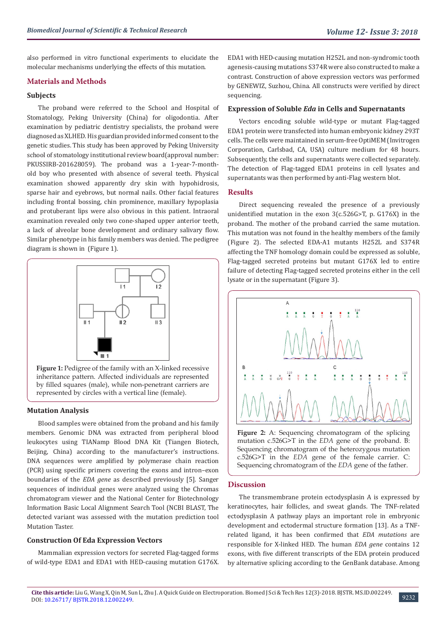also performed in vitro functional experiments to elucidate the molecular mechanisms underlying the effects of this mutation.

#### **Materials and Methods**

#### **Subjects**

The proband were referred to the School and Hospital of Stomatology, Peking University (China) for oligodontia. After examination by pediatric dentistry specialists, the proband were diagnosed as XLHED. His guardian provided informed consent to the genetic studies. This study has been approved by Peking University school of stomatology institutional review board(approval number: PKUSSIRB-201628059). The proband was a 1-year-7-monthold boy who presented with absence of several teeth. Physical examination showed apparently dry skin with hypohidrosis, sparse hair and eyebrows, but normal nails. Other facial features including frontal bossing, chin prominence, maxillary hypoplasia and protuberant lips were also obvious in this patient. Intraoral examination revealed only two cone-shaped upper anterior teeth, a lack of alveolar bone development and ordinary salivary flow. Similar phenotype in his family members was denied. The pedigree diagram is shown in (Figure 1).



Figure 1: Pedigree of the family with an X-linked recessive inheritance pattern. Affected individuals are represented by filled squares (male), while non-penetrant carriers are represented by circles with a vertical line (female).

#### **Mutation Analysis**

Blood samples were obtained from the proband and his family members. Genomic DNA was extracted from peripheral blood leukocytes using TIANamp Blood DNA Kit (Tiangen Biotech, Beijing, China) according to the manufacturer's instructions. DNA sequences were amplified by polymerase chain reaction (PCR) using specific primers covering the exons and intron–exon boundaries of the *EDA gene* as described previously [5]. Sanger sequences of individual genes were analyzed using the Chromas chromatogram viewer and the National Center for Biotechnology Information Basic Local Alignment Search Tool (NCBI BLAST, The detected variant was assessed with the mutation prediction tool Mutation Taster.

#### **Construction Of Eda Expression Vectors**

Mammalian expression vectors for secreted Flag-tagged forms of wild-type EDA1 and EDA1 with HED-causing mutation G176X.

EDA1 with HED-causing mutation H252L and non-syndromic tooth agenesis-causing mutations S374R were also constructed to make a contrast. Construction of above expression vectors was performed by GENEWIZ, Suzhou, China. All constructs were verified by direct sequencing.

#### **Expression of Soluble** *Eda* **in Cells and Supernatants**

Vectors encoding soluble wild-type or mutant Flag-tagged EDA1 protein were transfected into human embryonic kidney 293T cells. The cells were maintained in serum-free OptiMEM (Invitrogen Corporation, Carlsbad, CA, USA) culture medium for 48 hours. Subsequently, the cells and supernatants were collected separately. The detection of Flag-tagged EDA1 proteins in cell lysates and supernatants was then performed by anti-Flag western blot.

## **Results**

Direct sequencing revealed the presence of a previously unidentified mutation in the exon 3(c.526G>T, p. G176X) in the proband. The mother of the proband carried the same mutation. This mutation was not found in the healthy members of the family (Figure 2). The selected EDA-A1 mutants H252L and S374R affecting the TNF homology domain could be expressed as soluble, Flag-tagged secreted proteins but mutant G176X led to entire failure of detecting Flag-tagged secreted proteins either in the cell lysate or in the supernatant (Figure 3).



Sequencing chromatogram of the heterozygous mutation c.526G>T in the *EDA* gene of the female carrier. C: Sequencing chromatogram of the *EDA* gene of the father.

#### **Discussion**

The transmembrane protein ectodysplasin A is expressed by keratinocytes, hair follicles, and sweat glands. The TNF-related ectodysplasin A pathway plays an important role in embryonic development and ectodermal structure formation [13]. As a TNFrelated ligand, it has been confirmed that *EDA mutations* are responsible for X-linked HED. The human *EDA gene* contains 12 exons, with five different transcripts of the EDA protein produced by alternative splicing according to the GenBank database. Among

9232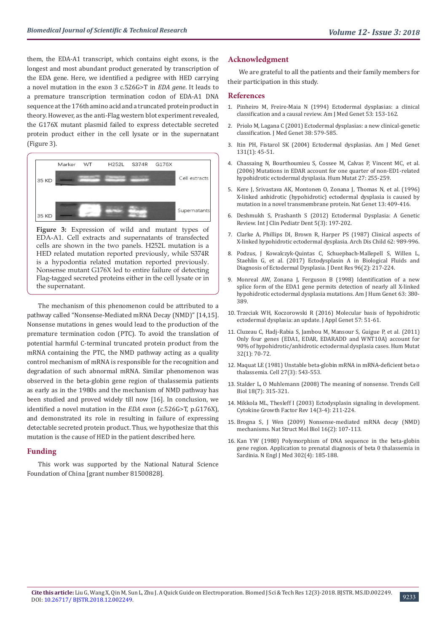them, the EDA-A1 transcript, which contains eight exons, is the longest and most abundant product generated by transcription of the EDA gene. Here, we identified a pedigree with HED carrying a novel mutation in the exon 3 c.526G>T in *EDA gene*. It leads to a premature transcription termination codon of EDA-A1 DNA sequence at the 176th amino acid and a truncated protein product in theory. However, as the anti-Flag western blot experiment revealed, the G176X mutant plasmid failed to express detectable secreted protein product either in the cell lysate or in the supernatant (Figure 3).



**Figure 3:** Expression of wild and mutant types of EDA-A1. Cell extracts and supernatants of transfected cells are shown in the two panels. H252L mutation is a HED related mutation reported previously, while S374R is a hypodontia related mutation reported previously. Nonsense mutant G176X led to entire failure of detecting Flag-tagged secreted proteins either in the cell lysate or in the supernatant.

The mechanism of this phenomenon could be attributed to a pathway called "Nonsense-Mediated mRNA Decay (NMD)" [14,15]. Nonsense mutations in genes would lead to the production of the premature termination codon (PTC). To avoid the translation of potential harmful C-terminal truncated protein product from the mRNA containing the PTC, the NMD pathway acting as a quality control mechanism of mRNA is responsible for the recognition and degradation of such abnormal mRNA. Similar phenomenon was observed in the beta-globin gene region of thalassemia patients as early as in the 1980s and the mechanism of NMD pathway has been studied and proved widely till now [16]. In conclusion, we identified a novel mutation in the *EDA exon* (c.526G>T, p.G176X), and demonstrated its role in resulting in failure of expressing detectable secreted protein product. Thus, we hypothesize that this mutation is the cause of HED in the patient described here.

#### **Funding**

This work was supported by the National Natural Science Foundation of China [grant number 81500828].

#### **Acknowledgment**

We are grateful to all the patients and their family members for their participation in this study.

#### **References**

- 1. [Pinheiro M, Freire-Maia N \(1994\) Ectodermal dysplasias: a clinical](https://www.ncbi.nlm.nih.gov/pubmed/7856640) [classification and a causal review. Am J Med Genet 53: 153-162.](https://www.ncbi.nlm.nih.gov/pubmed/7856640)
- 2. [Priolo M, Lagana C \(2001\) Ectodermal dysplasias: a new clinical-genetic](https://www.ncbi.nlm.nih.gov/pubmed/11546825) [classification. J Med Genet 38: 579-585.](https://www.ncbi.nlm.nih.gov/pubmed/11546825)
- 3. Itin PH, Fistarol SK (2004) Ectodermal dysplasias. Am J Med Genet 131(1): 45-51.
- 4. [Chassaing N, Bourthoumieu S, Cossee M, Calvas P, Vincent MC, et al.](https://www.ncbi.nlm.nih.gov/pubmed/16435307) [\(2006\) Mutations in EDAR account for one quarter of non-ED1-related](https://www.ncbi.nlm.nih.gov/pubmed/16435307) [hypohidrotic ectodermal dysplasia. Hum Mutat 27: 255-259.](https://www.ncbi.nlm.nih.gov/pubmed/16435307)
- 5. [Kere J, Srivastava AK, Montonen O, Zonana J, Thomas N, et al. \(1996\)](https://www.ncbi.nlm.nih.gov/pubmed/8696334) [X-linked anhidrotic \(hypohidrotic\) ectodermal dysplasia is caused by](https://www.ncbi.nlm.nih.gov/pubmed/8696334) [mutation in a novel transmembrane protein. Nat Genet 13: 409-416.](https://www.ncbi.nlm.nih.gov/pubmed/8696334)
- 6. [Deshmukh S, Prashanth S \(2012\) Ectodermal Dysplasia: A Genetic](https://www.ncbi.nlm.nih.gov/pmc/articles/PMC4155886/) [Review. Int J Clin Pediatr Dent 5\(3\): 197-202.](https://www.ncbi.nlm.nih.gov/pmc/articles/PMC4155886/)
- 7. [Clarke A, Phillips DI, Brown R, Harper PS \(1987\) Clinical aspects of](https://www.ncbi.nlm.nih.gov/pubmed/2445301) [X-linked hypohidrotic ectodermal dysplasia. Arch Dis Child 62: 989-996.](https://www.ncbi.nlm.nih.gov/pubmed/2445301)
- 8. [Podzus, J Kowalczyk-Quintas C, Schuepbach-Mallepell S, Willen L,](https://www.ncbi.nlm.nih.gov/pubmed/28106506) [Staehlin G, et al. \(2017\) Ectodysplasin A in Biological Fluids and](https://www.ncbi.nlm.nih.gov/pubmed/28106506) [Diagnosis of Ectodermal Dysplasia. J Dent Res 96\(2\): 217-224.](https://www.ncbi.nlm.nih.gov/pubmed/28106506)
- 9. [Monreal AW, Zonana J, Ferguson B \(1998\) Identification of a new](https://www.ncbi.nlm.nih.gov/pubmed/9683615) [splice form of the EDA1 gene permits detection of nearly all X-linked](https://www.ncbi.nlm.nih.gov/pubmed/9683615) [hypohidrotic ectodermal dysplasia mutations. Am J Hum Genet 63: 380-](https://www.ncbi.nlm.nih.gov/pubmed/9683615) [389.](https://www.ncbi.nlm.nih.gov/pubmed/9683615)
- 10. [Trzeciak WH, Koczorowski R \(2016\) Molecular basis of hypohidrotic](https://www.ncbi.nlm.nih.gov/pubmed/26294279) [ectodermal dysplasia: an update. J Appl Genet 57: 51-61.](https://www.ncbi.nlm.nih.gov/pubmed/26294279)
- 11. [Cluzeau C, Hadj-Rabia S, Jambou M, Mansour S, Guigue P, et al. \(2011\)](https://www.ncbi.nlm.nih.gov/pubmed/20979233) [Only four genes \(EDA1, EDAR, EDARADD and WNT10A\) account for](https://www.ncbi.nlm.nih.gov/pubmed/20979233) [90% of hypohidrotic/anhidrotic ectodermal dysplasia cases. Hum Mutat](https://www.ncbi.nlm.nih.gov/pubmed/20979233) [32\(1\): 70-72.](https://www.ncbi.nlm.nih.gov/pubmed/20979233)
- 12. [Maquat LE \(1981\) Unstable beta-globin mRNA in mRNA-deficient beta o](https://www.ncbi.nlm.nih.gov/pubmed/6101206) [thalassemia. Cell 27\(3\): 543-553.](https://www.ncbi.nlm.nih.gov/pubmed/6101206)
- 13. Stalder L, O Muhlemann (2008) The meaning of nonsense. Trends Cell Biol 18(7): 315-321.
- 14. [Mikkola ML, Thesleff I \(2003\) Ectodysplasin signaling in development.](https://www.ncbi.nlm.nih.gov/pubmed/12787560) [Cytokine Growth Factor Rev 14\(3-4\): 211-224.](https://www.ncbi.nlm.nih.gov/pubmed/12787560)
- 15. [Brogna S, J Wen \(2009\) Nonsense-mediated mRNA decay \(NMD\)](https://www.ncbi.nlm.nih.gov/pubmed/19190664) [mechanisms. Nat Struct Mol Biol 16\(2\): 107-113.](https://www.ncbi.nlm.nih.gov/pubmed/19190664)
- 16. [Kan YW \(1980\) Polymorphism of DNA sequence in the beta-globin](https://www.ncbi.nlm.nih.gov/pubmed/6927915) [gene region. Application to prenatal diagnosis of beta 0 thalassemia in](https://www.ncbi.nlm.nih.gov/pubmed/6927915) [Sardinia. N Engl J Med 302\(4\): 185-188.](https://www.ncbi.nlm.nih.gov/pubmed/6927915)